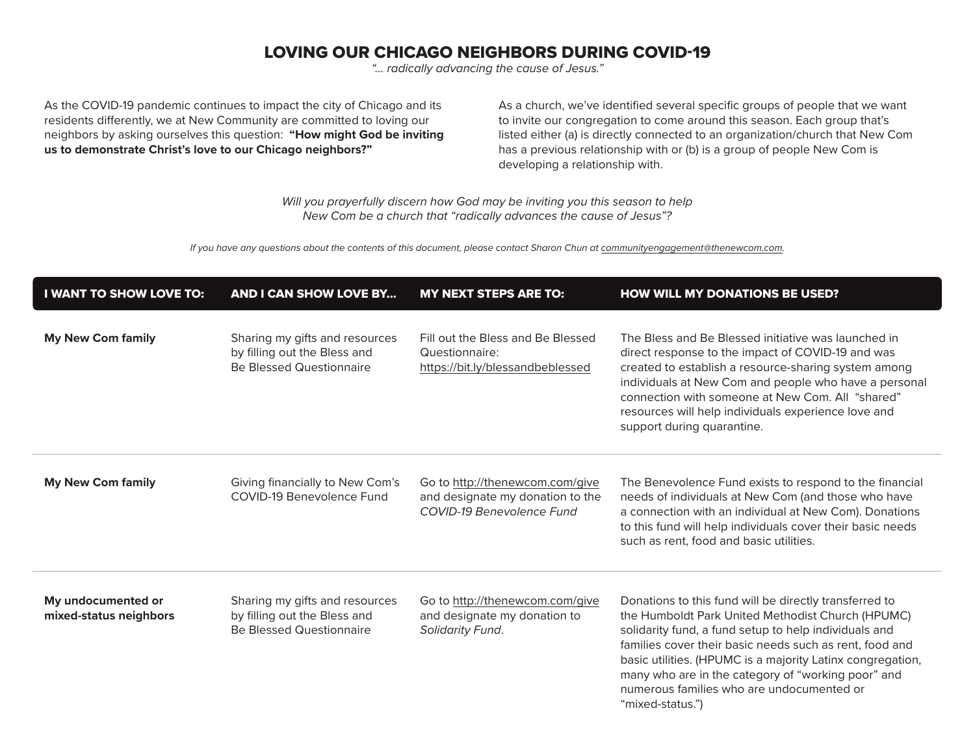## LOVING OUR CHICAGO NEIGHBORS DURING COVID-19

*"... radically advancing the cause of Jesus."*

As the COVID-19 pandemic continues to impact the city of Chicago and its residents differently, we at New Community are committed to loving our neighbors by asking ourselves this question: **"How might God be inviting us to demonstrate Christ's love to our Chicago neighbors?"**

As a church, we've identified several specific groups of people that we want to invite our congregation to come around this season. Each group that's listed either (a) is directly connected to an organization/church that New Com has a previous relationship with or (b) is a group of people New Com is developing a relationship with.

*Will you prayerfully discern how God may be inviting you this season to help New Com be a church that "radically advances the cause of Jesus"?* 

*If you have any questions about the contents of this document, please contact Sharon Chun at communityengagement@thenewcom.com.*

| <b>I WANT TO SHOW LOVE TO:</b>               | <b>AND I CAN SHOW LOVE BY</b>                                                                     | <b>MY NEXT STEPS ARE TO:</b>                                                                     | <b>HOW WILL MY DONATIONS BE USED?</b>                                                                                                                                                                                                                                                                                                                                                                                |
|----------------------------------------------|---------------------------------------------------------------------------------------------------|--------------------------------------------------------------------------------------------------|----------------------------------------------------------------------------------------------------------------------------------------------------------------------------------------------------------------------------------------------------------------------------------------------------------------------------------------------------------------------------------------------------------------------|
| <b>My New Com family</b>                     | Sharing my gifts and resources<br>by filling out the Bless and<br><b>Be Blessed Questionnaire</b> | Fill out the Bless and Be Blessed<br>Questionnaire:<br>https://bit.ly/blessandbeblessed          | The Bless and Be Blessed initiative was launched in<br>direct response to the impact of COVID-19 and was<br>created to establish a resource-sharing system among<br>individuals at New Com and people who have a personal<br>connection with someone at New Com. All "shared"<br>resources will help individuals experience love and<br>support during quarantine.                                                   |
| <b>My New Com family</b>                     | Giving financially to New Com's<br>COVID-19 Benevolence Fund                                      | Go to http://thenewcom.com/give<br>and designate my donation to the<br>COVID-19 Benevolence Fund | The Benevolence Fund exists to respond to the financial<br>needs of individuals at New Com (and those who have<br>a connection with an individual at New Com). Donations<br>to this fund will help individuals cover their basic needs<br>such as rent, food and basic utilities.                                                                                                                                    |
| My undocumented or<br>mixed-status neighbors | Sharing my gifts and resources<br>by filling out the Bless and<br><b>Be Blessed Questionnaire</b> | Go to http://thenewcom.com/give<br>and designate my donation to<br>Solidarity Fund.              | Donations to this fund will be directly transferred to<br>the Humboldt Park United Methodist Church (HPUMC)<br>solidarity fund, a fund setup to help individuals and<br>families cover their basic needs such as rent, food and<br>basic utilities. (HPUMC is a majority Latinx congregation,<br>many who are in the category of "working poor" and<br>numerous families who are undocumented or<br>"mixed-status.") |